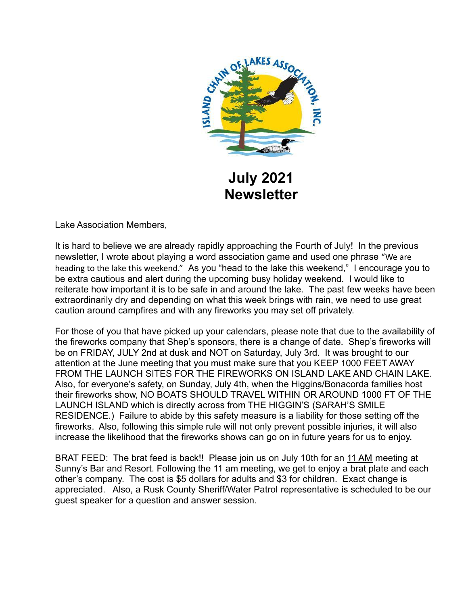

**July 2021 Newsletter**

Lake Association Members,

It is hard to believe we are already rapidly approaching the Fourth of July! In the previous newsletter, I wrote about playing a word association game and used one phrase "We are heading to the lake this weekend." As you "head to the lake this weekend," I encourage you to be extra cautious and alert during the upcoming busy holiday weekend. I would like to reiterate how important it is to be safe in and around the lake. The past few weeks have been extraordinarily dry and depending on what this week brings with rain, we need to use great caution around campfires and with any fireworks you may set off privately.

For those of you that have picked up your calendars, please note that due to the availability of the fireworks company that Shep's sponsors, there is a change of date. Shep's fireworks will be on FRIDAY, JULY 2nd at dusk and NOT on Saturday, July 3rd. It was brought to our attention at the June meeting that you must make sure that you KEEP 1000 FEET AWAY FROM THE LAUNCH SITES FOR THE FIREWORKS ON ISLAND LAKE AND CHAIN LAKE. Also, for everyone's safety, on Sunday, July 4th, when the Higgins/Bonacorda families host their fireworks show, NO BOATS SHOULD TRAVEL WITHIN OR AROUND 1000 FT OF THE LAUNCH ISLAND which is directly across from THE HIGGIN'S (SARAH'S SMILE RESIDENCE.) Failure to abide by this safety measure is a liability for those setting off the fireworks. Also, following this simple rule will not only prevent possible injuries, it will also increase the likelihood that the fireworks shows can go on in future years for us to enjoy.

BRAT FEED: The brat feed is back!! Please join us on July 10th for an 11 AM meeting at Sunny's Bar and Resort. Following the 11 am meeting, we get to enjoy a brat plate and each other's company. The cost is \$5 dollars for adults and \$3 for children. Exact change is appreciated. Also, a Rusk County Sheriff/Water Patrol representative is scheduled to be our guest speaker for a question and answer session.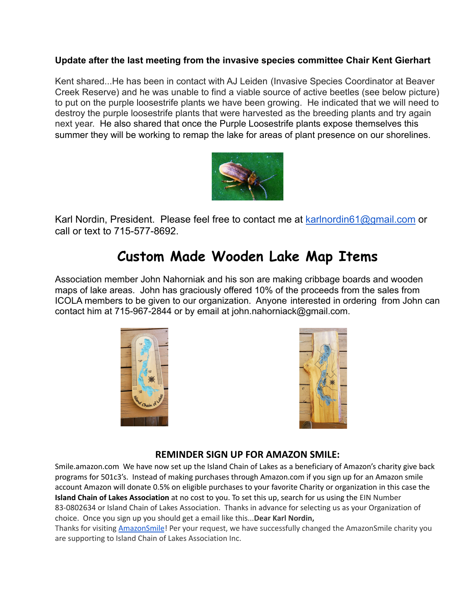#### **Update after the last meeting from the invasive species committee Chair Kent Gierhart**

Kent shared...He has been in contact with AJ Leiden (Invasive Species Coordinator at Beaver Creek Reserve) and he was unable to find a viable source of active beetles (see below picture) to put on the purple loosestrife plants we have been growing. He indicated that we will need to destroy the purple loosestrife plants that were harvested as the breeding plants and try again next year. He also shared that once the Purple Loosestrife plants expose themselves this summer they will be working to remap the lake for areas of plant presence on our shorelines.



Karl Nordin, President. Please feel free to contact me at [karlnordin61@gmail.com](mailto:karlnordin61@gmail.com) or call or text to 715-577-8692.

## **Custom Made Wooden Lake Map Items**

Association member John Nahorniak and his son are making cribbage boards and wooden maps of lake areas. John has graciously offered 10% of the proceeds from the sales from ICOLA members to be given to our organization. Anyone interested in ordering from John can contact him at 715-967-2844 or by email at john.nahorniack@gmail.com.





#### **REMINDER SIGN UP FOR AMAZON SMILE:**

Smile.amazon.com We have now set up the Island Chain of Lakes as a beneficiary of Amazon's charity give back programs for 501c3's. Instead of making purchases through Amazon.com if you sign up for an Amazon smile account Amazon will donate 0.5% on eligible purchases to your favorite Charity or organization in this case the **Island Chain of Lakes Association** at no cost to you. To set this up, search for us using the EIN Number 83-0802634 or Island Chain of Lakes Association. Thanks in advance for selecting us as your Organization of choice. Once you sign up you should get a email like this...**Dear Karl Nordin,**

Thanks for visiting [AmazonSmile](https://www.amazon.com/gp/f.html?C=23FDTID6XJWLZ&K=2QM18UT9EAS9L&M=urn:rtn:msg:20210426194952eb976c1f57714d29a4a27e5d5000p0na&R=AHM872WKTXBK&T=C&U=https%3A%2F%2Fsmile.amazon.com%2Fref%3Dpe_830720_137586720_smi_em_ccc_l1_smi&H=WFVXWTSEEAUWHZ2LTJITWUQRJWKA&ref_=pe_830720_137586720_smi_em_ccc_l1_smi)! Per your request, we have successfully changed the AmazonSmile charity you are supporting to Island Chain of Lakes Association Inc.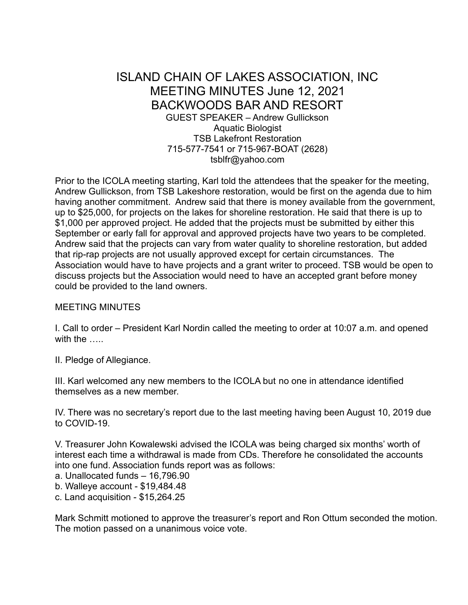#### ISLAND CHAIN OF LAKES ASSOCIATION, INC MEETING MINUTES June 12, 2021 BACKWOODS BAR AND RESORT GUEST SPEAKER – Andrew Gullickson Aquatic Biologist TSB Lakefront Restoration 715-577-7541 or 715-967-BOAT (2628) tsblfr@yahoo.com

Prior to the ICOLA meeting starting, Karl told the attendees that the speaker for the meeting, Andrew Gullickson, from TSB Lakeshore restoration, would be first on the agenda due to him having another commitment. Andrew said that there is money available from the government, up to \$25,000, for projects on the lakes for shoreline restoration. He said that there is up to \$1,000 per approved project. He added that the projects must be submitted by either this September or early fall for approval and approved projects have two years to be completed. Andrew said that the projects can vary from water quality to shoreline restoration, but added that rip-rap projects are not usually approved except for certain circumstances. The Association would have to have projects and a grant writer to proceed. TSB would be open to discuss projects but the Association would need to have an accepted grant before money could be provided to the land owners.

#### MEETING MINUTES

I. Call to order – President Karl Nordin called the meeting to order at 10:07 a.m. and opened with the …..

II. Pledge of Allegiance.

III. Karl welcomed any new members to the ICOLA but no one in attendance identified themselves as a new member.

IV. There was no secretary's report due to the last meeting having been August 10, 2019 due to COVID-19.

V. Treasurer John Kowalewski advised the ICOLA was being charged six months' worth of interest each time a withdrawal is made from CDs. Therefore he consolidated the accounts into one fund. Association funds report was as follows:

a. Unallocated funds – 16,796.90

b. Walleye account - \$19,484.48

c. Land acquisition - \$15,264.25

Mark Schmitt motioned to approve the treasurer's report and Ron Ottum seconded the motion. The motion passed on a unanimous voice vote.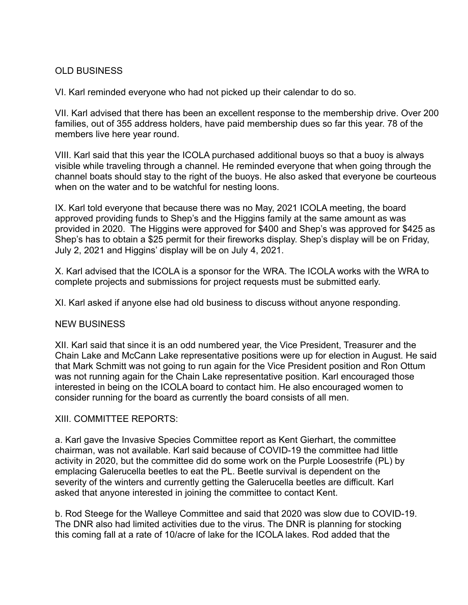#### OLD BUSINESS

VI. Karl reminded everyone who had not picked up their calendar to do so.

VII. Karl advised that there has been an excellent response to the membership drive. Over 200 families, out of 355 address holders, have paid membership dues so far this year. 78 of the members live here year round.

VIII. Karl said that this year the ICOLA purchased additional buoys so that a buoy is always visible while traveling through a channel. He reminded everyone that when going through the channel boats should stay to the right of the buoys. He also asked that everyone be courteous when on the water and to be watchful for nesting loons.

IX. Karl told everyone that because there was no May, 2021 ICOLA meeting, the board approved providing funds to Shep's and the Higgins family at the same amount as was provided in 2020. The Higgins were approved for \$400 and Shep's was approved for \$425 as Shep's has to obtain a \$25 permit for their fireworks display. Shep's display will be on Friday, July 2, 2021 and Higgins' display will be on July 4, 2021.

X. Karl advised that the ICOLA is a sponsor for the WRA. The ICOLA works with the WRA to complete projects and submissions for project requests must be submitted early.

XI. Karl asked if anyone else had old business to discuss without anyone responding.

#### NEW BUSINESS

XII. Karl said that since it is an odd numbered year, the Vice President, Treasurer and the Chain Lake and McCann Lake representative positions were up for election in August. He said that Mark Schmitt was not going to run again for the Vice President position and Ron Ottum was not running again for the Chain Lake representative position. Karl encouraged those interested in being on the ICOLA board to contact him. He also encouraged women to consider running for the board as currently the board consists of all men.

#### XIII. COMMITTEE REPORTS:

a. Karl gave the Invasive Species Committee report as Kent Gierhart, the committee chairman, was not available. Karl said because of COVID-19 the committee had little activity in 2020, but the committee did do some work on the Purple Loosestrife (PL) by emplacing Galerucella beetles to eat the PL. Beetle survival is dependent on the severity of the winters and currently getting the Galerucella beetles are difficult. Karl asked that anyone interested in joining the committee to contact Kent.

b. Rod Steege for the Walleye Committee and said that 2020 was slow due to COVID-19. The DNR also had limited activities due to the virus. The DNR is planning for stocking this coming fall at a rate of 10/acre of lake for the ICOLA lakes. Rod added that the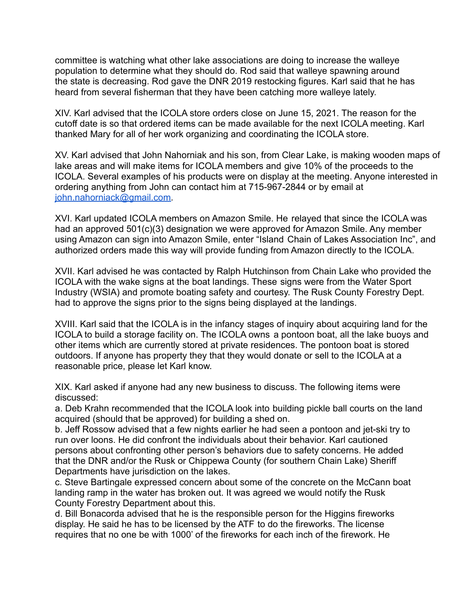committee is watching what other lake associations are doing to increase the walleye population to determine what they should do. Rod said that walleye spawning around the state is decreasing. Rod gave the DNR 2019 restocking figures. Karl said that he has heard from several fisherman that they have been catching more walleye lately.

XIV. Karl advised that the ICOLA store orders close on June 15, 2021. The reason for the cutoff date is so that ordered items can be made available for the next ICOLA meeting. Karl thanked Mary for all of her work organizing and coordinating the ICOLA store.

XV. Karl advised that John Nahorniak and his son, from Clear Lake, is making wooden maps of lake areas and will make items for ICOLA members and give 10% of the proceeds to the ICOLA. Several examples of his products were on display at the meeting. Anyone interested in ordering anything from John can contact him at 715-967-2844 or by email at [john.nahorniack@gmail.com.](mailto:john.nahorniack@gmail.com)

XVI. Karl updated ICOLA members on Amazon Smile. He relayed that since the ICOLA was had an approved 501(c)(3) designation we were approved for Amazon Smile. Any member using Amazon can sign into Amazon Smile, enter "Island Chain of Lakes Association Inc", and authorized orders made this way will provide funding from Amazon directly to the ICOLA.

XVII. Karl advised he was contacted by Ralph Hutchinson from Chain Lake who provided the ICOLA with the wake signs at the boat landings. These signs were from the Water Sport Industry (WSIA) and promote boating safety and courtesy. The Rusk County Forestry Dept. had to approve the signs prior to the signs being displayed at the landings.

XVIII. Karl said that the ICOLA is in the infancy stages of inquiry about acquiring land for the ICOLA to build a storage facility on. The ICOLA owns a pontoon boat, all the lake buoys and other items which are currently stored at private residences. The pontoon boat is stored outdoors. If anyone has property they that they would donate or sell to the ICOLA at a reasonable price, please let Karl know.

XIX. Karl asked if anyone had any new business to discuss. The following items were discussed:

a. Deb Krahn recommended that the ICOLA look into building pickle ball courts on the land acquired (should that be approved) for building a shed on.

b. Jeff Rossow advised that a few nights earlier he had seen a pontoon and jet-ski try to run over loons. He did confront the individuals about their behavior. Karl cautioned persons about confronting other person's behaviors due to safety concerns. He added that the DNR and/or the Rusk or Chippewa County (for southern Chain Lake) Sheriff Departments have jurisdiction on the lakes.

c. Steve Bartingale expressed concern about some of the concrete on the McCann boat landing ramp in the water has broken out. It was agreed we would notify the Rusk County Forestry Department about this.

d. Bill Bonacorda advised that he is the responsible person for the Higgins fireworks display. He said he has to be licensed by the ATF to do the fireworks. The license requires that no one be with 1000' of the fireworks for each inch of the firework. He